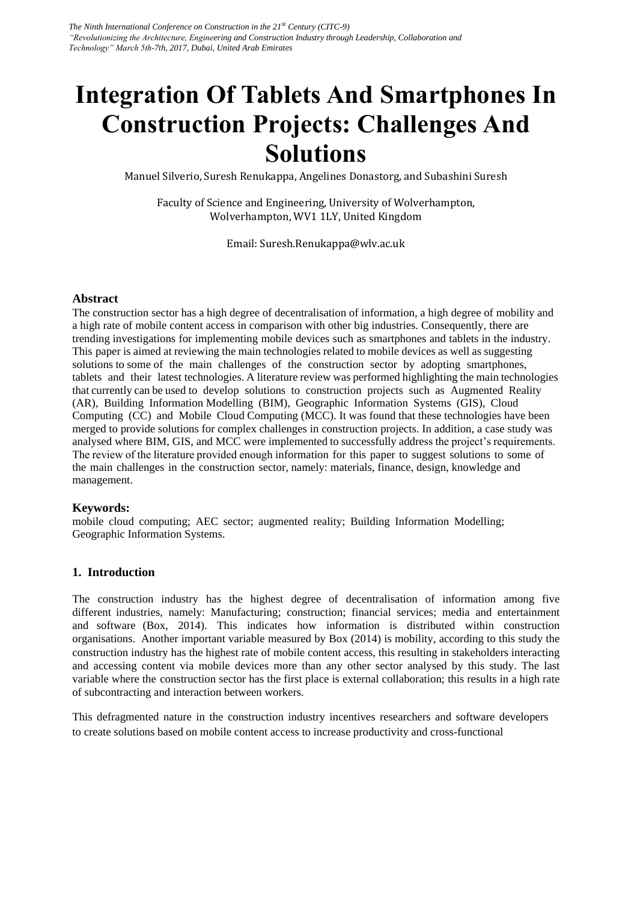# **Integration Of Tablets And Smartphones In Construction Projects: Challenges And Solutions**

Manuel Silverio, Suresh Renukappa, Angelines Donastorg, and Subashini Suresh

Faculty of Science and Engineering, University of Wolverhampton, Wolverhampton, WV1 1LY, United Kingdom

Email: Suresh.Renukappa@wlv.ac.uk

## **Abstract**

The construction sector has a high degree of decentralisation of information, a high degree of mobility and a high rate of mobile content access in comparison with other big industries. Consequently, there are trending investigations for implementing mobile devices such as smartphones and tablets in the industry. This paper is aimed at reviewing the main technologies related to mobile devices as well as suggesting solutions to some of the main challenges of the construction sector by adopting smartphones, tablets and their latest technologies. A literature review was performed highlighting the main technologies that currently can be used to develop solutions to construction projects such as Augmented Reality (AR), Building Information Modelling (BIM), Geographic Information Systems (GIS), Cloud Computing (CC) and Mobile Cloud Computing (MCC). It was found that these technologies have been merged to provide solutions for complex challenges in construction projects. In addition, a case study was analysed where BIM, GIS, and MCC were implemented to successfully address the project's requirements. The review of the literature provided enough information for this paper to suggest solutions to some of the main challenges in the construction sector, namely: materials, finance, design, knowledge and management.

## **Keywords:**

mobile cloud computing; AEC sector; augmented reality; Building Information Modelling; Geographic Information Systems.

## **1. Introduction**

The construction industry has the highest degree of decentralisation of information among five different industries, namely: Manufacturing; construction; financial services; media and entertainment and software (Box, 2014). This indicates how information is distributed within construction organisations. Another important variable measured by Box (2014) is mobility, according to this study the construction industry has the highest rate of mobile content access, this resulting in stakeholders interacting and accessing content via mobile devices more than any other sector analysed by this study. The last variable where the construction sector has the first place is external collaboration; this results in a high rate of subcontracting and interaction between workers.

This defragmented nature in the construction industry incentives researchers and software developers to create solutions based on mobile content access to increase productivity and cross-functional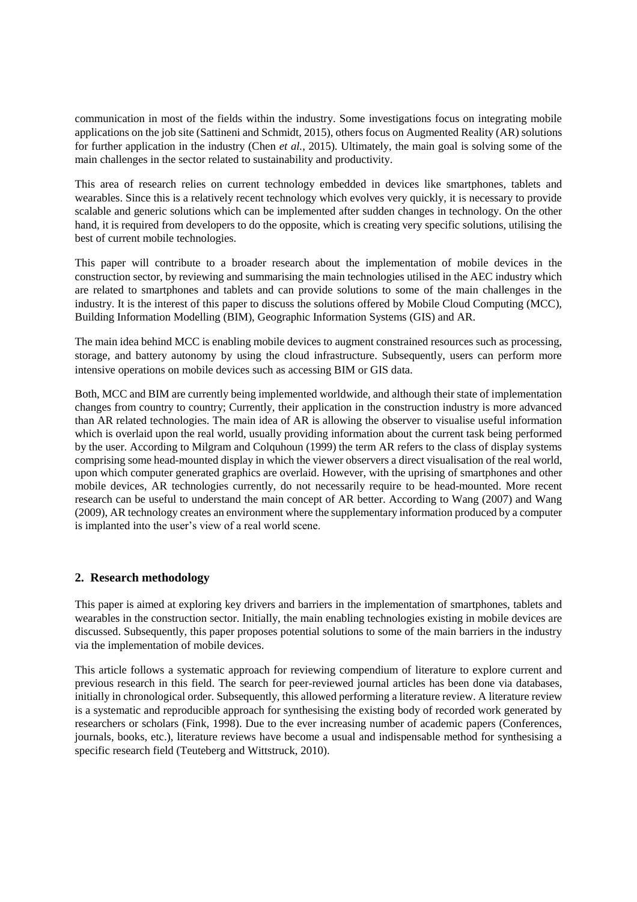communication in most of the fields within the industry. Some investigations focus on integrating mobile applications on the job site (Sattineni and Schmidt, 2015), others focus on Augmented Reality (AR) solutions for further application in the industry (Chen *et al.*, 2015). Ultimately, the main goal is solving some of the main challenges in the sector related to sustainability and productivity.

This area of research relies on current technology embedded in devices like smartphones, tablets and wearables. Since this is a relatively recent technology which evolves very quickly, it is necessary to provide scalable and generic solutions which can be implemented after sudden changes in technology. On the other hand, it is required from developers to do the opposite, which is creating very specific solutions, utilising the best of current mobile technologies.

This paper will contribute to a broader research about the implementation of mobile devices in the construction sector, by reviewing and summarising the main technologies utilised in the AEC industry which are related to smartphones and tablets and can provide solutions to some of the main challenges in the industry. It is the interest of this paper to discuss the solutions offered by Mobile Cloud Computing (MCC), Building Information Modelling (BIM), Geographic Information Systems (GIS) and AR.

The main idea behind MCC is enabling mobile devices to augment constrained resources such as processing, storage, and battery autonomy by using the cloud infrastructure. Subsequently, users can perform more intensive operations on mobile devices such as accessing BIM or GIS data.

Both, MCC and BIM are currently being implemented worldwide, and although their state of implementation changes from country to country; Currently, their application in the construction industry is more advanced than AR related technologies. The main idea of AR is allowing the observer to visualise useful information which is overlaid upon the real world, usually providing information about the current task being performed by the user. According to Milgram and Colquhoun (1999) the term AR refers to the class of display systems comprising some head-mounted display in which the viewer observers a direct visualisation of the real world, upon which computer generated graphics are overlaid. However, with the uprising of smartphones and other mobile devices, AR technologies currently, do not necessarily require to be head-mounted. More recent research can be useful to understand the main concept of AR better. According to Wang (2007) and Wang (2009), AR technology creates an environment where the supplementary information produced by a computer is implanted into the user's view of a real world scene.

## **2. Research methodology**

This paper is aimed at exploring key drivers and barriers in the implementation of smartphones, tablets and wearables in the construction sector. Initially, the main enabling technologies existing in mobile devices are discussed. Subsequently, this paper proposes potential solutions to some of the main barriers in the industry via the implementation of mobile devices.

This article follows a systematic approach for reviewing compendium of literature to explore current and previous research in this field. The search for peer-reviewed journal articles has been done via databases, initially in chronological order. Subsequently, this allowed performing a literature review. A literature review is a systematic and reproducible approach for synthesising the existing body of recorded work generated by researchers or scholars (Fink, 1998). Due to the ever increasing number of academic papers (Conferences, journals, books, etc.), literature reviews have become a usual and indispensable method for synthesising a specific research field (Teuteberg and Wittstruck, 2010).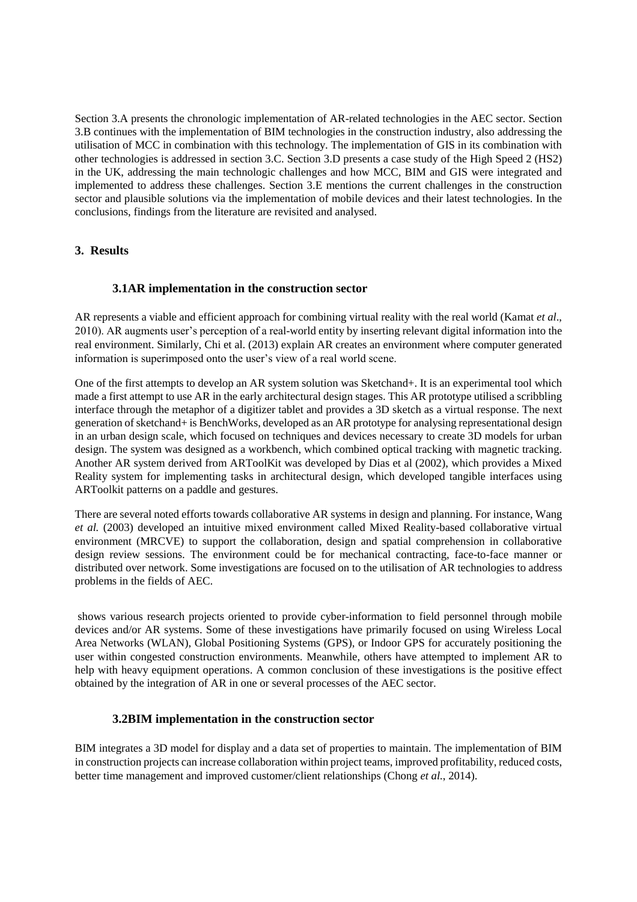Section 3.A presents the chronologic implementation of AR-related technologies in the AEC sector. Section 3.B continues with the implementation of BIM technologies in the construction industry, also addressing the utilisation of MCC in combination with this technology. The implementation of GIS in its combination with other technologies is addressed in section 3.C. Section 3.D presents a case study of the High Speed 2 (HS2) in the UK, addressing the main technologic challenges and how MCC, BIM and GIS were integrated and implemented to address these challenges. Section 3.E mentions the current challenges in the construction sector and plausible solutions via the implementation of mobile devices and their latest technologies. In the conclusions, findings from the literature are revisited and analysed.

# **3. Results**

## **3.1AR implementation in the construction sector**

AR represents a viable and efficient approach for combining virtual reality with the real world (Kamat *et al*., 2010). AR augments user's perception of a real-world entity by inserting relevant digital information into the real environment. Similarly, Chi et al. (2013) explain AR creates an environment where computer generated information is superimposed onto the user's view of a real world scene.

One of the first attempts to develop an AR system solution was Sketchand+. It is an experimental tool which made a first attempt to use AR in the early architectural design stages. This AR prototype utilised a scribbling interface through the metaphor of a digitizer tablet and provides a 3D sketch as a virtual response. The next generation of sketchand+ is BenchWorks, developed as an AR prototype for analysing representational design in an urban design scale, which focused on techniques and devices necessary to create 3D models for urban design. The system was designed as a workbench, which combined optical tracking with magnetic tracking. Another AR system derived from ARToolKit was developed by Dias et al (2002), which provides a Mixed Reality system for implementing tasks in architectural design, which developed tangible interfaces using ARToolkit patterns on a paddle and gestures.

There are several noted efforts towards collaborative AR systems in design and planning. For instance, Wang *et al.* (2003) developed an intuitive mixed environment called Mixed Reality-based collaborative virtual environment (MRCVE) to support the collaboration, design and spatial comprehension in collaborative design review sessions. The environment could be for mechanical contracting, face-to-face manner or distributed over network. Some investigations are focused on to the utilisation of AR technologies to address problems in the fields of AEC.

shows various research projects oriented to provide cyber-information to field personnel through mobile devices and/or AR systems. Some of these investigations have primarily focused on using Wireless Local Area Networks (WLAN), Global Positioning Systems (GPS), or Indoor GPS for accurately positioning the user within congested construction environments. Meanwhile, others have attempted to implement AR to help with heavy equipment operations. A common conclusion of these investigations is the positive effect obtained by the integration of AR in one or several processes of the AEC sector.

## **3.2BIM implementation in the construction sector**

BIM integrates a 3D model for display and a data set of properties to maintain. The implementation of BIM in construction projects can increase collaboration within project teams, improved profitability, reduced costs, better time management and improved customer/client relationships (Chong *et al.*, 2014).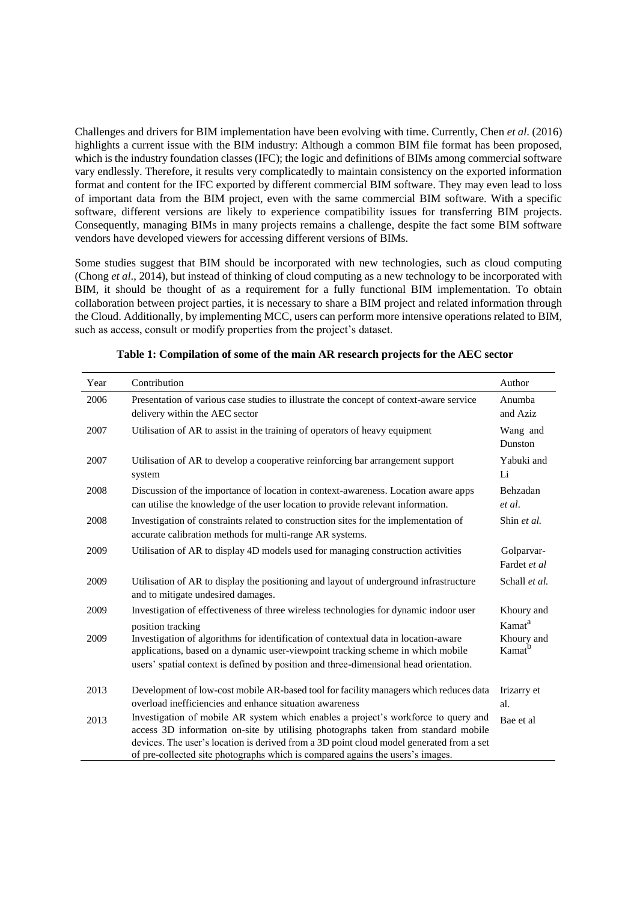Challenges and drivers for BIM implementation have been evolving with time. Currently, Chen *et al*. (2016) highlights a current issue with the BIM industry: Although a common BIM file format has been proposed, which is the industry foundation classes (IFC); the logic and definitions of BIMs among commercial software vary endlessly. Therefore, it results very complicatedly to maintain consistency on the exported information format and content for the IFC exported by different commercial BIM software. They may even lead to loss of important data from the BIM project, even with the same commercial BIM software. With a specific software, different versions are likely to experience compatibility issues for transferring BIM projects. Consequently, managing BIMs in many projects remains a challenge, despite the fact some BIM software vendors have developed viewers for accessing different versions of BIMs.

Some studies suggest that BIM should be incorporated with new technologies, such as cloud computing (Chong *et al*., 2014), but instead of thinking of cloud computing as a new technology to be incorporated with BIM, it should be thought of as a requirement for a fully functional BIM implementation. To obtain collaboration between project parties, it is necessary to share a BIM project and related information through the Cloud. Additionally, by implementing MCC, users can perform more intensive operations related to BIM, such as access, consult or modify properties from the project's dataset.

| Year | Contribution                                                                                                                                                                                                                                                                                                                                          | Author                           |
|------|-------------------------------------------------------------------------------------------------------------------------------------------------------------------------------------------------------------------------------------------------------------------------------------------------------------------------------------------------------|----------------------------------|
| 2006 | Presentation of various case studies to illustrate the concept of context-aware service<br>delivery within the AEC sector                                                                                                                                                                                                                             | Anumba<br>and Aziz               |
| 2007 | Utilisation of AR to assist in the training of operators of heavy equipment                                                                                                                                                                                                                                                                           | Wang and<br>Dunston              |
| 2007 | Utilisation of AR to develop a cooperative reinforcing bar arrangement support<br>system                                                                                                                                                                                                                                                              | Yabuki and<br>Li                 |
| 2008 | Discussion of the importance of location in context-awareness. Location aware apps<br>can utilise the knowledge of the user location to provide relevant information.                                                                                                                                                                                 | Behzadan<br>et al.               |
| 2008 | Investigation of constraints related to construction sites for the implementation of<br>accurate calibration methods for multi-range AR systems.                                                                                                                                                                                                      | Shin et al.                      |
| 2009 | Utilisation of AR to display 4D models used for managing construction activities                                                                                                                                                                                                                                                                      | Golparvar-<br>Fardet et al       |
| 2009 | Utilisation of AR to display the positioning and layout of underground infrastructure<br>and to mitigate undesired damages.                                                                                                                                                                                                                           | Schall et al.                    |
| 2009 | Investigation of effectiveness of three wireless technologies for dynamic indoor user<br>position tracking                                                                                                                                                                                                                                            | Khoury and<br>Kamat <sup>a</sup> |
| 2009 | Investigation of algorithms for identification of contextual data in location-aware<br>applications, based on a dynamic user-viewpoint tracking scheme in which mobile<br>users' spatial context is defined by position and three-dimensional head orientation.                                                                                       | Khoury and<br>Kamat <sup>b</sup> |
| 2013 | Development of low-cost mobile AR-based tool for facility managers which reduces data<br>overload inefficiencies and enhance situation awareness                                                                                                                                                                                                      | Irizarry et<br>al.               |
| 2013 | Investigation of mobile AR system which enables a project's workforce to query and<br>access 3D information on-site by utilising photographs taken from standard mobile<br>devices. The user's location is derived from a 3D point cloud model generated from a set<br>of pre-collected site photographs which is compared agains the users's images. | Bae et al                        |

**Table 1: Compilation of some of the main AR research projects for the AEC sector**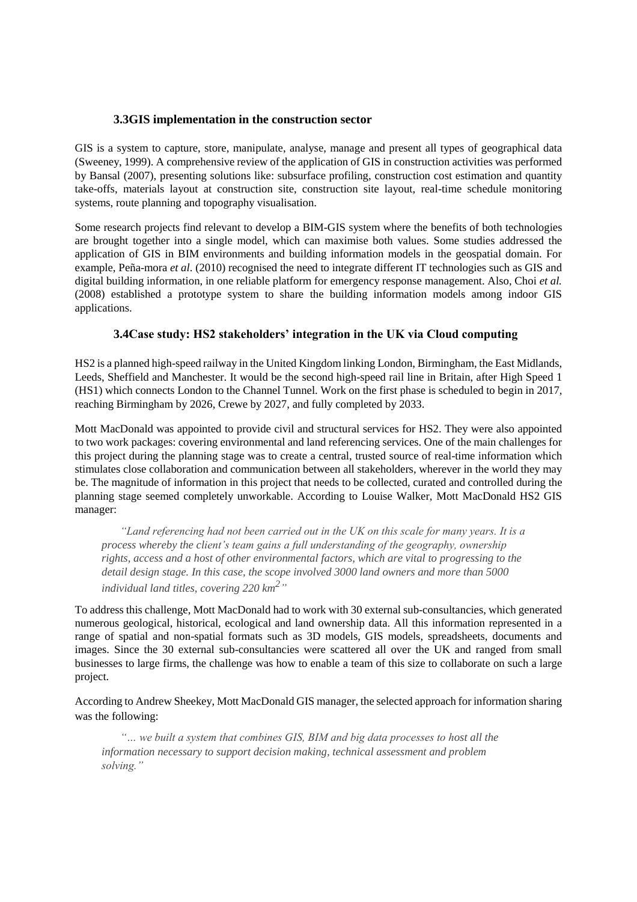## **3.3GIS implementation in the construction sector**

GIS is a system to capture, store, manipulate, analyse, manage and present all types of geographical data (Sweeney, 1999). A comprehensive review of the application of GIS in construction activities was performed by Bansal (2007), presenting solutions like: subsurface profiling, construction cost estimation and quantity take-offs, materials layout at construction site, construction site layout, real-time schedule monitoring systems, route planning and topography visualisation.

Some research projects find relevant to develop a BIM-GIS system where the benefits of both technologies are brought together into a single model, which can maximise both values. Some studies addressed the application of GIS in BIM environments and building information models in the geospatial domain. For example, Peña-mora *et al*. (2010) recognised the need to integrate different IT technologies such as GIS and digital building information, in one reliable platform for emergency response management. Also, Choi *et al.* (2008) established a prototype system to share the building information models among indoor GIS applications.

# **3.4Case study: HS2 stakeholders' integration in the UK via Cloud computing**

HS2 is a planned high-speed railway in the United Kingdom linking London, Birmingham, the East Midlands, Leeds, Sheffield and Manchester. It would be the second high-speed rail line in Britain, after High Speed 1 (HS1) which connects London to the Channel Tunnel. Work on the first phase is scheduled to begin in 2017, reaching Birmingham by 2026, Crewe by 2027, and fully completed by 2033.

Mott MacDonald was appointed to provide civil and structural services for HS2. They were also appointed to two work packages: covering environmental and land referencing services. One of the main challenges for this project during the planning stage was to create a central, trusted source of real-time information which stimulates close collaboration and communication between all stakeholders, wherever in the world they may be. The magnitude of information in this project that needs to be collected, curated and controlled during the planning stage seemed completely unworkable. According to Louise Walker, Mott MacDonald HS2 GIS manager:

*"Land referencing had not been carried out in the UK on this scale for many years. It is a process whereby the client's team gains a full understanding of the geography, ownership rights, access and a host of other environmental factors, which are vital to progressing to the detail design stage. In this case, the scope involved 3000 land owners and more than 5000 individual land titles, covering 220 km<sup>2</sup> "*

To address this challenge, Mott MacDonald had to work with 30 external sub-consultancies, which generated numerous geological, historical, ecological and land ownership data. All this information represented in a range of spatial and non-spatial formats such as 3D models, GIS models, spreadsheets, documents and images. Since the 30 external sub-consultancies were scattered all over the UK and ranged from small businesses to large firms, the challenge was how to enable a team of this size to collaborate on such a large project.

According to Andrew Sheekey, Mott MacDonald GIS manager, the selected approach for information sharing was the following:

*"… we built a system that combines GIS, BIM and big data processes to host all the information necessary to support decision making, technical assessment and problem solving."*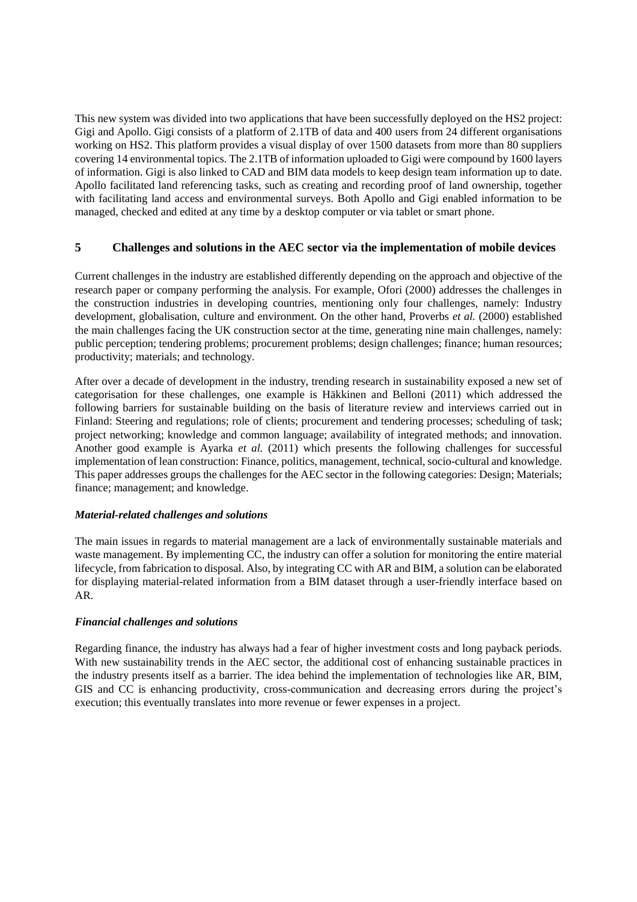This new system was divided into two applications that have been successfully deployed on the HS2 project: Gigi and Apollo. Gigi consists of a platform of 2.1TB of data and 400 users from 24 different organisations working on HS2. This platform provides a visual display of over 1500 datasets from more than 80 suppliers covering 14 environmental topics. The 2.1TB of information uploaded to Gigi were compound by 1600 layers of information. Gigi is also linked to CAD and BIM data models to keep design team information up to date. Apollo facilitated land referencing tasks, such as creating and recording proof of land ownership, together with facilitating land access and environmental surveys. Both Apollo and Gigi enabled information to be managed, checked and edited at any time by a desktop computer or via tablet or smart phone.

## **5 Challenges and solutions in the AEC sector via the implementation of mobile devices**

Current challenges in the industry are established differently depending on the approach and objective of the research paper or company performing the analysis. For example, Ofori (2000) addresses the challenges in the construction industries in developing countries, mentioning only four challenges, namely: Industry development, globalisation, culture and environment. On the other hand, Proverbs *et al.* (2000) established the main challenges facing the UK construction sector at the time, generating nine main challenges, namely: public perception; tendering problems; procurement problems; design challenges; finance; human resources; productivity; materials; and technology.

After over a decade of development in the industry, trending research in sustainability exposed a new set of categorisation for these challenges, one example is Häkkinen and Belloni (2011) which addressed the following barriers for sustainable building on the basis of literature review and interviews carried out in Finland: Steering and regulations; role of clients; procurement and tendering processes; scheduling of task; project networking; knowledge and common language; availability of integrated methods; and innovation. Another good example is Ayarka *et al.* (2011) which presents the following challenges for successful implementation of lean construction: Finance, politics, management, technical, socio-cultural and knowledge. This paper addresses groups the challenges for the AEC sector in the following categories: Design; Materials; finance; management; and knowledge.

## *Material-related challenges and solutions*

The main issues in regards to material management are a lack of environmentally sustainable materials and waste management. By implementing CC, the industry can offer a solution for monitoring the entire material lifecycle, from fabrication to disposal. Also, by integrating CC with AR and BIM, a solution can be elaborated for displaying material-related information from a BIM dataset through a user-friendly interface based on AR.

## *Financial challenges and solutions*

Regarding finance, the industry has always had a fear of higher investment costs and long payback periods. With new sustainability trends in the AEC sector, the additional cost of enhancing sustainable practices in the industry presents itself as a barrier. The idea behind the implementation of technologies like AR, BIM, GIS and CC is enhancing productivity, cross-communication and decreasing errors during the project's execution; this eventually translates into more revenue or fewer expenses in a project.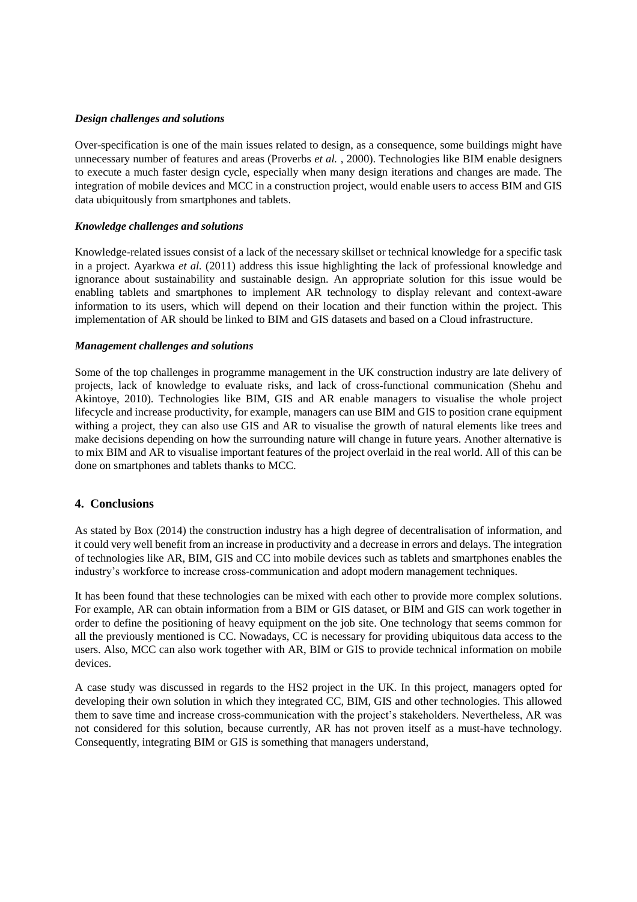#### *Design challenges and solutions*

Over-specification is one of the main issues related to design, as a consequence, some buildings might have unnecessary number of features and areas (Proverbs *et al.*, 2000). Technologies like BIM enable designers to execute a much faster design cycle, especially when many design iterations and changes are made. The integration of mobile devices and MCC in a construction project, would enable users to access BIM and GIS data ubiquitously from smartphones and tablets.

### *Knowledge challenges and solutions*

Knowledge-related issues consist of a lack of the necessary skillset or technical knowledge for a specific task in a project. Ayarkwa *et al.* (2011) address this issue highlighting the lack of professional knowledge and ignorance about sustainability and sustainable design. An appropriate solution for this issue would be enabling tablets and smartphones to implement AR technology to display relevant and context-aware information to its users, which will depend on their location and their function within the project. This implementation of AR should be linked to BIM and GIS datasets and based on a Cloud infrastructure.

### *Management challenges and solutions*

Some of the top challenges in programme management in the UK construction industry are late delivery of projects, lack of knowledge to evaluate risks, and lack of cross-functional communication (Shehu and Akintoye, 2010). Technologies like BIM, GIS and AR enable managers to visualise the whole project lifecycle and increase productivity, for example, managers can use BIM and GIS to position crane equipment withing a project, they can also use GIS and AR to visualise the growth of natural elements like trees and make decisions depending on how the surrounding nature will change in future years. Another alternative is to mix BIM and AR to visualise important features of the project overlaid in the real world. All of this can be done on smartphones and tablets thanks to MCC.

## **4. Conclusions**

As stated by Box (2014) the construction industry has a high degree of decentralisation of information, and it could very well benefit from an increase in productivity and a decrease in errors and delays. The integration of technologies like AR, BIM, GIS and CC into mobile devices such as tablets and smartphones enables the industry's workforce to increase cross-communication and adopt modern management techniques.

It has been found that these technologies can be mixed with each other to provide more complex solutions. For example, AR can obtain information from a BIM or GIS dataset, or BIM and GIS can work together in order to define the positioning of heavy equipment on the job site. One technology that seems common for all the previously mentioned is CC. Nowadays, CC is necessary for providing ubiquitous data access to the users. Also, MCC can also work together with AR, BIM or GIS to provide technical information on mobile devices.

A case study was discussed in regards to the HS2 project in the UK. In this project, managers opted for developing their own solution in which they integrated CC, BIM, GIS and other technologies. This allowed them to save time and increase cross-communication with the project's stakeholders. Nevertheless, AR was not considered for this solution, because currently, AR has not proven itself as a must-have technology. Consequently, integrating BIM or GIS is something that managers understand,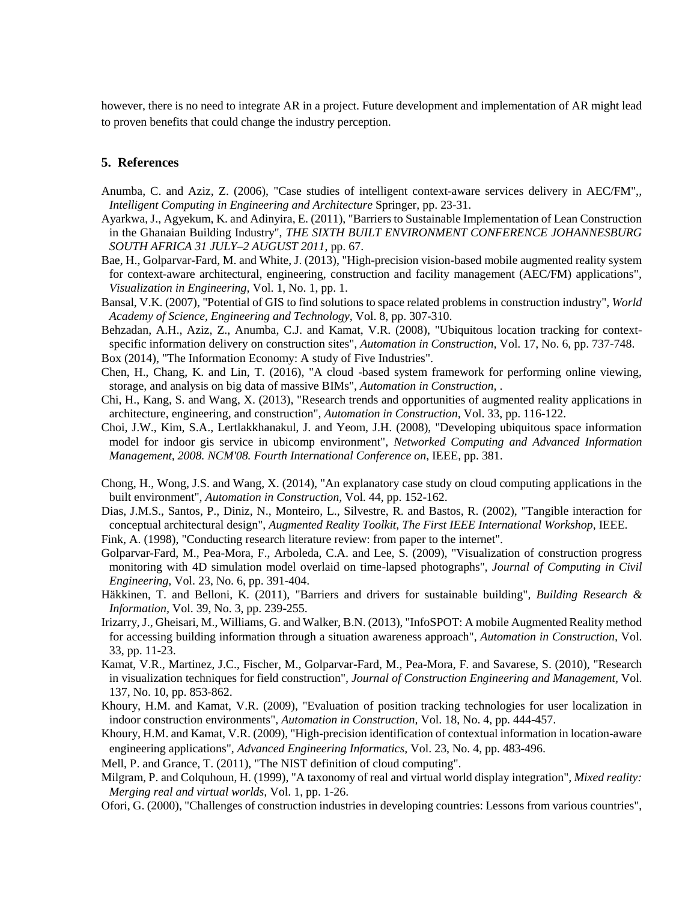however, there is no need to integrate AR in a project. Future development and implementation of AR might lead to proven benefits that could change the industry perception.

## **5. References**

- Anumba, C. and Aziz, Z. (2006), "Case studies of intelligent context-aware services delivery in AEC/FM",*, Intelligent Computing in Engineering and Architecture* Springer, pp. 23-31.
- Ayarkwa, J., Agyekum, K. and Adinyira, E. (2011), "Barriers to Sustainable Implementation of Lean Construction in the Ghanaian Building Industry", *THE SIXTH BUILT ENVIRONMENT CONFERENCE JOHANNESBURG SOUTH AFRICA 31 JULY–2 AUGUST 2011*, pp. 67.
- Bae, H., Golparvar-Fard, M. and White, J. (2013), "High-precision vision-based mobile augmented reality system for context-aware architectural, engineering, construction and facility management (AEC/FM) applications"*, Visualization in Engineering,* Vol. 1, No. 1, pp. 1.
- Bansal, V.K. (2007), "Potential of GIS to find solutions to space related problems in construction industry"*, World Academy of Science, Engineering and Technology,* Vol. 8, pp. 307-310.
- Behzadan, A.H., Aziz, Z., Anumba, C.J. and Kamat, V.R. (2008), "Ubiquitous location tracking for contextspecific information delivery on construction sites"*, Automation in Construction,* Vol. 17, No. 6, pp. 737-748.
- Box (2014), "The Information Economy: A study of Five Industries".
- Chen, H., Chang, K. and Lin, T. (2016), "A cloud -based system framework for performing online viewing, storage, and analysis on big data of massive BIMs"*, Automation in Construction,* .
- Chi, H., Kang, S. and Wang, X. (2013), "Research trends and opportunities of augmented reality applications in architecture, engineering, and construction"*, Automation in Construction,* Vol. 33, pp. 116-122.
- Choi, J.W., Kim, S.A., Lertlakkhanakul, J. and Yeom, J.H. (2008), "Developing ubiquitous space information model for indoor gis service in ubicomp environment", *Networked Computing and Advanced Information Management, 2008. NCM'08. Fourth International Conference on*, IEEE, pp. 381.
- Chong, H., Wong, J.S. and Wang, X. (2014), "An explanatory case study on cloud computing applications in the built environment"*, Automation in Construction,* Vol. 44, pp. 152-162.
- Dias, J.M.S., Santos, P., Diniz, N., Monteiro, L., Silvestre, R. and Bastos, R. (2002), "Tangible interaction for conceptual architectural design", *Augmented Reality Toolkit, The First IEEE International Workshop*, IEEE.
- Fink, A. (1998), "Conducting research literature review: from paper to the internet".
- Golparvar-Fard, M., Pea-Mora, F., Arboleda, C.A. and Lee, S. (2009), "Visualization of construction progress monitoring with 4D simulation model overlaid on time-lapsed photographs"*, Journal of Computing in Civil Engineering,* Vol. 23, No. 6, pp. 391-404.
- Häkkinen, T. and Belloni, K. (2011), "Barriers and drivers for sustainable building"*, Building Research & Information,* Vol. 39, No. 3, pp. 239-255.
- Irizarry, J., Gheisari, M., Williams, G. and Walker, B.N. (2013), "InfoSPOT: A mobile Augmented Reality method for accessing building information through a situation awareness approach"*, Automation in Construction,* Vol. 33, pp. 11-23.
- Kamat, V.R., Martinez, J.C., Fischer, M., Golparvar-Fard, M., Pea-Mora, F. and Savarese, S. (2010), "Research in visualization techniques for field construction"*, Journal of Construction Engineering and Management,* Vol. 137, No. 10, pp. 853-862.
- Khoury, H.M. and Kamat, V.R. (2009), "Evaluation of position tracking technologies for user localization in indoor construction environments"*, Automation in Construction,* Vol. 18, No. 4, pp. 444-457.
- Khoury, H.M. and Kamat, V.R. (2009), "High-precision identification of contextual information in location-aware engineering applications"*, Advanced Engineering Informatics,* Vol. 23, No. 4, pp. 483-496.

Mell, P. and Grance, T. (2011), "The NIST definition of cloud computing".

Milgram, P. and Colquhoun, H. (1999), "A taxonomy of real and virtual world display integration"*, Mixed reality: Merging real and virtual worlds,* Vol. 1, pp. 1-26.

Ofori, G. (2000), "Challenges of construction industries in developing countries: Lessons from various countries",